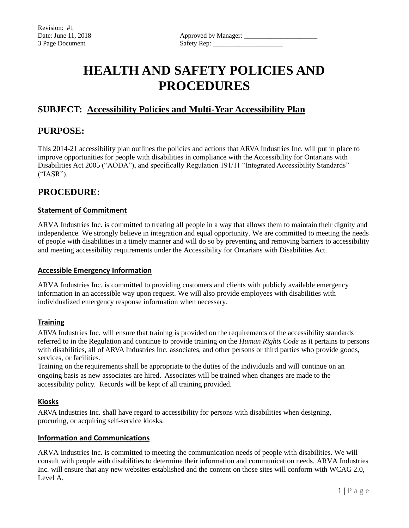# **HEALTH AND SAFETY POLICIES AND PROCEDURES**

# **SUBJECT: Accessibility Policies and Multi-Year Accessibility Plan**

## **PURPOSE:**

This 2014-21 accessibility plan outlines the policies and actions that ARVA Industries Inc. will put in place to improve opportunities for people with disabilities in compliance with the Accessibility for Ontarians with Disabilities Act 2005 ("AODA"), and specifically Regulation 191/11 "Integrated Accessibility Standards" ("IASR").

# **PROCEDURE:**

## **Statement of Commitment**

ARVA Industries Inc. is committed to treating all people in a way that allows them to maintain their dignity and independence. We strongly believe in integration and equal opportunity. We are committed to meeting the needs of people with disabilities in a timely manner and will do so by preventing and removing barriers to accessibility and meeting accessibility requirements under the Accessibility for Ontarians with Disabilities Act.

#### **Accessible Emergency Information**

ARVA Industries Inc. is committed to providing customers and clients with publicly available emergency information in an accessible way upon request. We will also provide employees with disabilities with individualized emergency response information when necessary.

## **Training**

ARVA Industries Inc. will ensure that training is provided on the requirements of the accessibility standards referred to in the Regulation and continue to provide training on the *Human Rights Code* as it pertains to persons with disabilities, all of ARVA Industries Inc. associates, and other persons or third parties who provide goods, services, or facilities.

Training on the requirements shall be appropriate to the duties of the individuals and will continue on an ongoing basis as new associates are hired. Associates will be trained when changes are made to the accessibility policy. Records will be kept of all training provided.

## **Kiosks**

ARVA Industries Inc. shall have regard to accessibility for persons with disabilities when designing, procuring, or acquiring self-service kiosks.

## **Information and Communications**

ARVA Industries Inc. is committed to meeting the communication needs of people with disabilities. We will consult with people with disabilities to determine their information and communication needs. ARVA Industries Inc. will ensure that any new websites established and the content on those sites will conform with WCAG 2.0, Level A.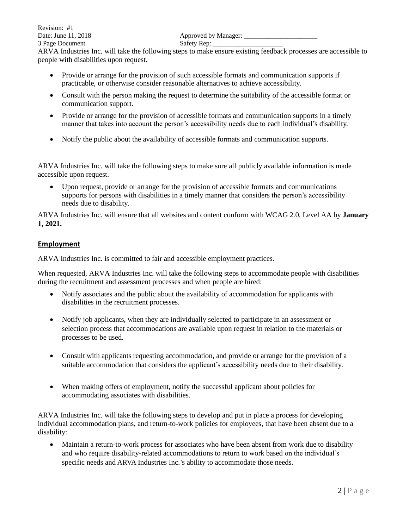ARVA Industries Inc. will take the following steps to make ensure existing feedback processes are accessible to people with disabilities upon request.

- Provide or arrange for the provision of such accessible formats and communication supports if practicable, or otherwise consider reasonable alternatives to achieve accessibility.
- Consult with the person making the request to determine the suitability of the accessible format or communication support.
- Provide or arrange for the provision of accessible formats and communication supports in a timely manner that takes into account the person's accessibility needs due to each individual's disability.
- Notify the public about the availability of accessible formats and communication supports.

ARVA Industries Inc. will take the following steps to make sure all publicly available information is made accessible upon request.

• Upon request, provide or arrange for the provision of accessible formats and communications supports for persons with disabilities in a timely manner that considers the person's accessibility needs due to disability.

ARVA Industries Inc. will ensure that all websites and content conform with WCAG 2.0, Level AA by **January 1, 2021.**

## **Employment**

ARVA Industries Inc. is committed to fair and accessible employment practices.

When requested, ARVA Industries Inc. will take the following steps to accommodate people with disabilities during the recruitment and assessment processes and when people are hired:

- Notify associates and the public about the availability of accommodation for applicants with disabilities in the recruitment processes.
- Notify job applicants, when they are individually selected to participate in an assessment or selection process that accommodations are available upon request in relation to the materials or processes to be used.
- Consult with applicants requesting accommodation, and provide or arrange for the provision of a suitable accommodation that considers the applicant's accessibility needs due to their disability.
- When making offers of employment, notify the successful applicant about policies for accommodating associates with disabilities.

ARVA Industries Inc. will take the following steps to develop and put in place a process for developing individual accommodation plans, and return-to-work policies for employees, that have been absent due to a disability:

• Maintain a return-to-work process for associates who have been absent from work due to disability and who require disability-related accommodations to return to work based on the individual's specific needs and ARVA Industries Inc.'s ability to accommodate those needs.